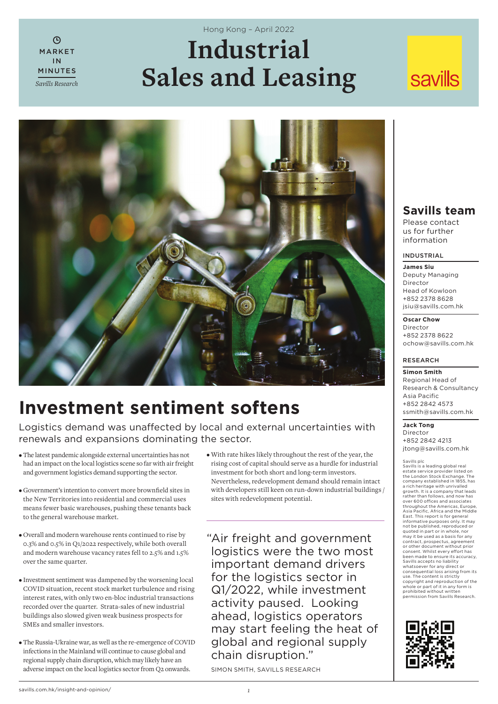# **Industrial Sales and Leasing** Hong Kong – April 2022

# **savills**



# **Investment sentiment softens**

Logistics demand was unaffected by local and external uncertainties with renewals and expansions dominating the sector.

• The latest pandemic alongside external uncertainties has not had an impact on the local logistics scene so far with air freight and government logistics demand supporting the sector.

MARKET IN MINUTES *Savills Research*

 $\Omega$ 

- $\bullet$  Government's intention to convert more brownfield sites in the New Territories into residential and commercial uses means fewer basic warehouses, pushing these tenants back to the general warehouse market.
- Overall and modern warehouse rents continued to rise by 0.3% and 0.5% in Q1/2022 respectively, while both overall and modern warehouse vacancy rates fell to 2.5% and 1.5% over the same quarter.
- Investment sentiment was dampened by the worsening local COVID situation, recent stock market turbulence and rising interest rates, with only two en-bloc industrial transactions recorded over the quarter. Strata-sales of new industrial buildings also slowed given weak business prospects for SMEs and smaller investors.
- The Russia-Ukraine war, as well as the re-emergence of COVID infections in the Mainland will continue to cause global and regional supply chain disruption, which may likely have an adverse impact on the local logistics sector from Q2 onwards.

• With rate hikes likely throughout the rest of the year, the rising cost of capital should serve as a hurdle for industrial investment for both short and long-term investors. Nevertheless, redevelopment demand should remain intact with developers still keen on run-down industrial buildings / sites with redevelopment potential.

" Air freight and government logistics were the two most important demand drivers for the logistics sector in Q1/2022, while investment activity paused. Looking ahead, logistics operators may start feeling the heat of global and regional supply chain disruption."

SIMON SMITH, SAVILLS RESEARCH

# **Savills team**

Please contact us for further information

## INDUSTRIAL

**James Siu** Deputy Managing Director Head of Kowloon +852 2378 8628 jsiu@savills.com.hk

**Oscar Chow**

Director +852 2378 8622 ochow@savills.com.hk

## RESEARCH

**Simon Smith** Regional Head of Research & Consultancy Asia Pacific +852 2842 4573 ssmith@savills.com.hk

# **Jack Tong**

Director +852 2842 4213 jtong@savills.com.hk

Savills plc<br>Savills is a leading global real<br>estate service provider listed on<br>the London Stock Exchange. The<br>company established in 1855, has<br>a rich heritage with unrivalled growth. It is a company that leads rather than follows, and now has<br>over 600 offices and associates over 600 offices and associates<br>throughout the Americas, Europe,<br>Asia Pacific, Africa and the Middle<br>East. This report is for general<br>informative purposes only. It may<br>not be published, reproduced or quoted in part or in whole, nor may it be used as a basis for any contract, prospectus, agreement<br>or other document without prior<br>consent. Whilst every effort has<br>been made to ensure its accuracy, Savills accepts no liability whatsoever for any direct or<br>consequential loss arising from its consequential loss arising from its use. The content is strictly copyright and reproduction of the whole or part of it in any form is prohibited without written permission from Savills Research.

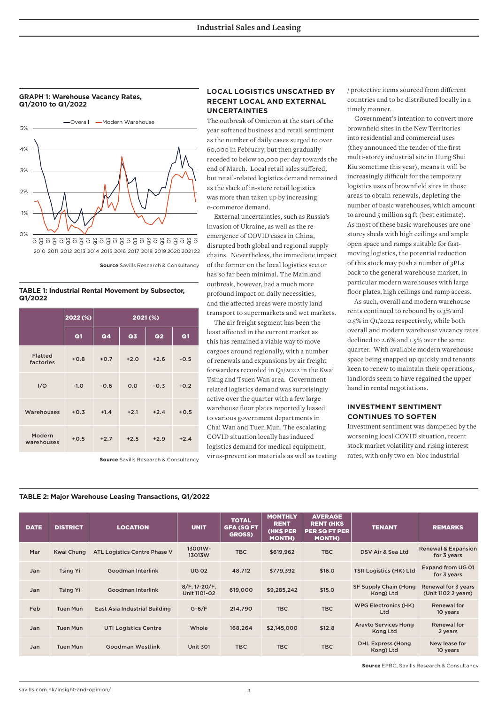**GRAPH 1: Warehouse Vacancy Rates, Q1/2010 to Q1/2022**



**Source** Savills Research & Consultancy

2022 (%) 2021 (%) Q1 | Q4 | Q3 | Q2 | Q1 Flatted factories +0.8 +0.7 +2.0 +2.6 -0.5 I/O -1.0 -0.6 0.0 -0.3 -0.2 Warehouses +0.3 +1.4 +2.1 +2.4 +0.5 Modern warehouses +0.5 +2.7 +2.5 +2.9 +2.4

**TABLE 1: Industrial Rental Movement by Subsector, Q1/2022**

#### **Source** Savills Research & Consultancy

## **LOCAL LOGISTICS UNSCATHED BY RECENT LOCAL AND EXTERNAL UNCERTAINTIES**

The outbreak of Omicron at the start of the year softened business and retail sentiment as the number of daily cases surged to over 60,000 in February, but then gradually receded to below 10,000 per day towards the end of March. Local retail sales suffered, but retail-related logistics demand remained as the slack of in-store retail logistics was more than taken up by increasing e-commerce demand.

External uncertainties, such as Russia's invasion of Ukraine, as well as the reemergence of COVID cases in China, disrupted both global and regional supply chains. Nevertheless, the immediate impact of the former on the local logistics sector has so far been minimal. The Mainland outbreak, however, had a much more profound impact on daily necessities, and the affected areas were mostly land transport to supermarkets and wet markets.

The air freight segment has been the least affected in the current market as this has remained a viable way to move cargoes around regionally, with a number of renewals and expansions by air freight forwarders recorded in Q1/2022 in the Kwai Tsing and Tsuen Wan area. Governmentrelated logistics demand was surprisingly active over the quarter with a few large warehouse floor plates reportedly leased to various government departments in Chai Wan and Tuen Mun. The escalating COVID situation locally has induced logistics demand for medical equipment,

virus-prevention materials as well as testing

/ protective items sourced from different countries and to be distributed locally in a timely manner.

Government's intention to convert more brownfield sites in the New Territories into residential and commercial uses (they announced the tender of the first multi-storey industrial site in Hung Shui Kiu sometime this year), means it will be increasingly difficult for the temporary logistics uses of brownfield sites in those areas to obtain renewals, depleting the number of basic warehouses, which amount to around 5 million sq ft (best estimate). As most of these basic warehouses are onestorey sheds with high ceilings and ample open space and ramps suitable for fastmoving logistics, the potential reduction of this stock may push a number of 3PLs back to the general warehouse market, in particular modern warehouses with large floor plates, high ceilings and ramp access.

As such, overall and modern warehouse rents continued to rebound by 0.3% and 0.5% in Q1/2022 respectively, while both overall and modern warehouse vacancy rates declined to 2.6% and 1.5% over the same quarter. With available modern warehouse space being snapped up quickly and tenants keen to renew to maintain their operations, landlords seem to have regained the upper hand in rental negotiations.

# **INVESTMENT SENTIMENT CONTINUES TO SOFTEN**

Investment sentiment was dampened by the worsening local COVID situation, recent stock market volatility and rising interest rates, with only two en-bloc industrial

#### **TABLE 2: Major Warehouse Leasing Transactions, Q1/2022**

| <b>DATE</b> | <b>DISTRICT</b> | <b>LOCATION</b>                      | <b>UNIT</b>                   | <b>TOTAL</b><br><b>GFA (SQ FT</b><br><b>GROSS)</b> | <b>MONTHLY</b><br><b>RENT</b><br><b>(HK\$ PER</b><br><b>MONTH)</b> | <b>AVERAGE</b><br><b>RENT (HK\$</b><br><b>PER SQ FT PER</b><br><b>MONTH)</b> | <b>TENANT</b>                           | <b>REMARKS</b>                                |
|-------------|-----------------|--------------------------------------|-------------------------------|----------------------------------------------------|--------------------------------------------------------------------|------------------------------------------------------------------------------|-----------------------------------------|-----------------------------------------------|
| Mar         | Kwai Chung      | ATL Logistics Centre Phase V         | 13001W-<br>13013W             | TBC                                                | \$619,962                                                          | TBC                                                                          | DSV Air & Sea Ltd                       | <b>Renewal &amp; Expansion</b><br>for 3 years |
| Jan         | <b>Tsing Yi</b> | Goodman Interlink                    | <b>UG 02</b>                  | 48,712                                             | \$779,392                                                          | \$16.0                                                                       | <b>TSR Logistics (HK) Ltd</b>           | Expand from UG 01<br>for 3 years              |
| Jan         | <b>Tsing Yi</b> | Goodman Interlink                    | 8/F, 17-20/F,<br>Unit 1101-02 | 619,000                                            | \$9,285,242                                                        | \$15.0                                                                       | SF Supply Chain (Hong<br>Kong) Ltd      | Renewal for 3 years<br>(Unit 1102 2 years)    |
| Feb         | <b>Tuen Mun</b> | <b>East Asia Industrial Building</b> | $G-6/F$                       | 214,790                                            | <b>TBC</b>                                                         | <b>TBC</b>                                                                   | <b>WPG Electronics (HK)</b><br>Ltd      | Renewal for<br>10 years                       |
| Jan         | <b>Tuen Mun</b> | <b>UTI Logistics Centre</b>          | Whole                         | 168,264                                            | \$2,145,000                                                        | \$12.8                                                                       | <b>Aravto Services Hong</b><br>Kong Ltd | Renewal for<br>2 years                        |
| Jan         | <b>Tuen Mun</b> | Goodman Westlink                     | <b>Unit 301</b>               | <b>TBC</b>                                         | <b>TBC</b>                                                         | <b>TBC</b>                                                                   | <b>DHL Express (Hong</b><br>Kong) Ltd   | New lease for<br>10 years                     |

**Source** EPRC, Savills Research & Consultancy